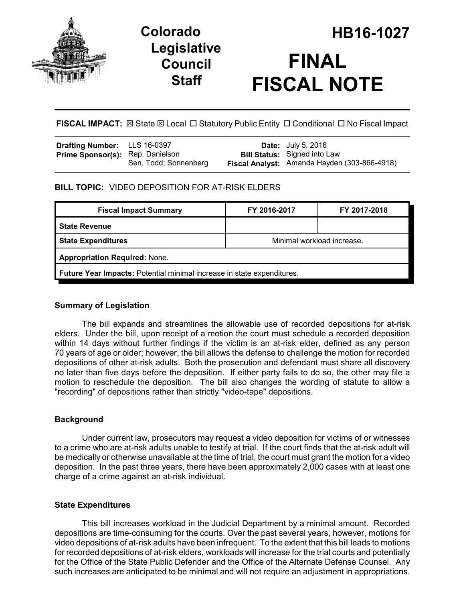

## **Legislative Council Staff**

# **Colorado HB16-1027 FINAL FISCAL NOTE**

**FISCAL IMPACT:** ⊠ State ⊠ Local □ Statutory Public Entity □ Conditional □ No Fiscal Impact

| <b>Drafting Number:</b> LLS 16-0397     |                       | <b>Date:</b> July 5, 2016                                                           |
|-----------------------------------------|-----------------------|-------------------------------------------------------------------------------------|
| <b>Prime Sponsor(s):</b> Rep. Danielson | Sen. Todd; Sonnenberg | <b>Bill Status:</b> Signed into Law<br>Fiscal Analyst: Amanda Hayden (303-866-4918) |

## **BILL TOPIC:** VIDEO DEPOSITION FOR AT-RISK ELDERS

| <b>Fiscal Impact Summary</b>                                           | FY 2016-2017               | FY 2017-2018 |  |  |  |
|------------------------------------------------------------------------|----------------------------|--------------|--|--|--|
| <b>State Revenue</b>                                                   |                            |              |  |  |  |
| <b>State Expenditures</b>                                              | Minimal workload increase. |              |  |  |  |
| <b>Appropriation Required: None.</b>                                   |                            |              |  |  |  |
| Future Year Impacts: Potential minimal increase in state expenditures. |                            |              |  |  |  |

## **Summary of Legislation**

The bill expands and streamlines the allowable use of recorded depositions for at-risk elders. Under the bill, upon receipt of a motion the court must schedule a recorded deposition within 14 days without further findings if the victim is an at-risk elder, defined as any person 70 years of age or older; however, the bill allows the defense to challenge the motion for recorded depositions of other at-risk adults. Both the prosecution and defendant must share all discovery no later than five days before the deposition. If either party fails to do so, the other may file a motion to reschedule the deposition. The bill also changes the wording of statute to allow a "recording" of depositions rather than strictly "video-tape" depositions.

## **Background**

Under current law, prosecutors may request a video deposition for victims of or witnesses to a crime who are at-risk adults unable to testify at trial. If the court finds that the at-risk adult will be medically or otherwise unavailable at the time of trial, the court must grant the motion for a video deposition. In the past three years, there have been approximately 2,000 cases with at least one charge of a crime against an at-risk individual.

## **State Expenditures**

This bill increases workload in the Judicial Department by a minimal amount. Recorded depositions are time-consuming for the courts. Over the past several years, however, motions for video depositions of at-risk adults have been infrequent. To the extent that this bill leads to motions for recorded depositions of at-risk elders, workloads will increase for the trial courts and potentially for the Office of the State Public Defender and the Office of the Alternate Defense Counsel. Any such increases are anticipated to be minimal and will not require an adjustment in appropriations.